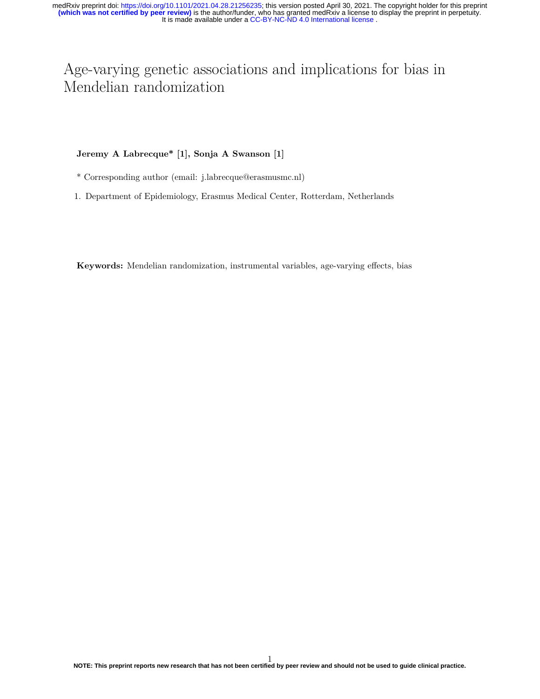# Age-varying genetic associations and implications for bias in Mendelian randomization

# **Jeremy A Labrecque\* [1], Sonja A Swanson [1]**

- \* Corresponding author (email: j.labrecque@erasmusmc.nl)
- 1. Department of Epidemiology, Erasmus Medical Center, Rotterdam, Netherlands

**Keywords:** Mendelian randomization, instrumental variables, age-varying effects, bias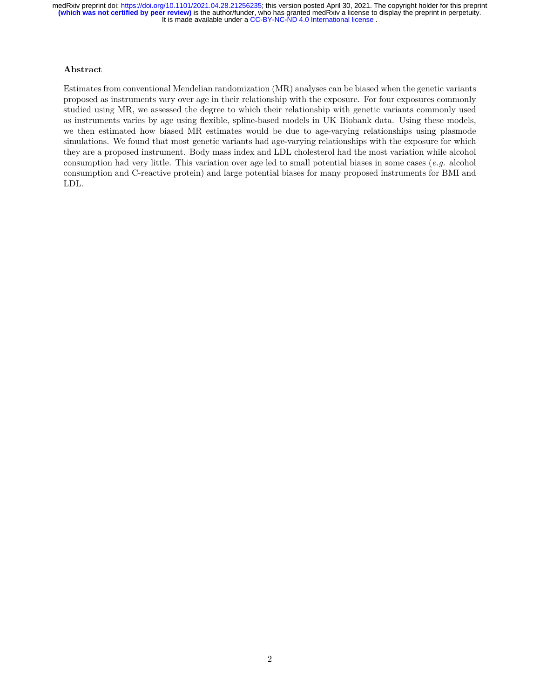# **Abstract**

Estimates from conventional Mendelian randomization (MR) analyses can be biased when the genetic variants proposed as instruments vary over age in their relationship with the exposure. For four exposures commonly studied using MR, we assessed the degree to which their relationship with genetic variants commonly used as instruments varies by age using flexible, spline-based models in UK Biobank data. Using these models, we then estimated how biased MR estimates would be due to age-varying relationships using plasmode simulations. We found that most genetic variants had age-varying relationships with the exposure for which they are a proposed instrument. Body mass index and LDL cholesterol had the most variation while alcohol consumption had very little. This variation over age led to small potential biases in some cases (*e.g.* alcohol consumption and C-reactive protein) and large potential biases for many proposed instruments for BMI and LDL.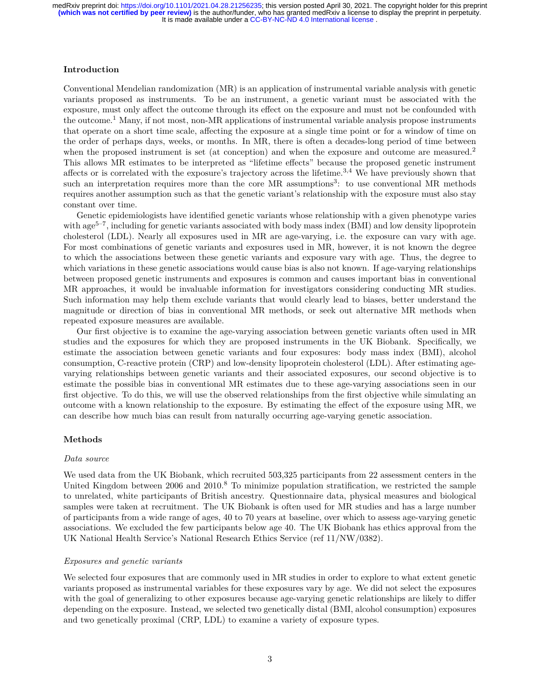## **Introduction**

Conventional Mendelian randomization (MR) is an application of instrumental variable analysis with genetic variants proposed as instruments. To be an instrument, a genetic variant must be associated with the exposure, must only affect the outcome through its effect on the exposure and must not be confounded with the outcome.<sup>1</sup> Many, if not most, non-MR applications of instrumental variable analysis propose instruments that operate on a short time scale, affecting the exposure at a single time point or for a window of time on the order of perhaps days, weeks, or months. In MR, there is often a decades-long period of time between when the proposed instrument is set (at conception) and when the exposure and outcome are measured.<sup>2</sup> This allows MR estimates to be interpreted as "lifetime effects" because the proposed genetic instrument affects or is correlated with the exposure's trajectory across the lifetime.<sup>3,4</sup> We have previously shown that such an interpretation requires more than the core MR assumptions<sup>3</sup>: to use conventional MR methods requires another assumption such as that the genetic variant's relationship with the exposure must also stay constant over time.

Genetic epidemiologists have identified genetic variants whose relationship with a given phenotype varies with age<sup>5–7</sup>, including for genetic variants associated with body mass index (BMI) and low density lipoprotein cholesterol (LDL). Nearly all exposures used in MR are age-varying, i.e. the exposure can vary with age. For most combinations of genetic variants and exposures used in MR, however, it is not known the degree to which the associations between these genetic variants and exposure vary with age. Thus, the degree to which variations in these genetic associations would cause bias is also not known. If age-varying relationships between proposed genetic instruments and exposures is common and causes important bias in conventional MR approaches, it would be invaluable information for investigators considering conducting MR studies. Such information may help them exclude variants that would clearly lead to biases, better understand the magnitude or direction of bias in conventional MR methods, or seek out alternative MR methods when repeated exposure measures are available.

Our first objective is to examine the age-varying association between genetic variants often used in MR studies and the exposures for which they are proposed instruments in the UK Biobank. Specifically, we estimate the association between genetic variants and four exposures: body mass index (BMI), alcohol consumption, C-reactive protein (CRP) and low-density lipoprotein cholesterol (LDL). After estimating agevarying relationships between genetic variants and their associated exposures, our second objective is to estimate the possible bias in conventional MR estimates due to these age-varying associations seen in our first objective. To do this, we will use the observed relationships from the first objective while simulating an outcome with a known relationship to the exposure. By estimating the effect of the exposure using MR, we can describe how much bias can result from naturally occurring age-varying genetic association.

## **Methods**

#### *Data source*

We used data from the UK Biobank, which recruited  $503,325$  participants from 22 assessment centers in the United Kingdom between 2006 and 2010.<sup>8</sup> To minimize population stratification, we restricted the sample to unrelated, white participants of British ancestry. Questionnaire data, physical measures and biological samples were taken at recruitment. The UK Biobank is often used for MR studies and has a large number of participants from a wide range of ages, 40 to 70 years at baseline, over which to assess age-varying genetic associations. We excluded the few participants below age 40. The UK Biobank has ethics approval from the UK National Health Service's National Research Ethics Service (ref 11/NW/0382).

#### *Exposures and genetic variants*

We selected four exposures that are commonly used in MR studies in order to explore to what extent genetic variants proposed as instrumental variables for these exposures vary by age. We did not select the exposures with the goal of generalizing to other exposures because age-varying genetic relationships are likely to differ depending on the exposure. Instead, we selected two genetically distal (BMI, alcohol consumption) exposures and two genetically proximal (CRP, LDL) to examine a variety of exposure types.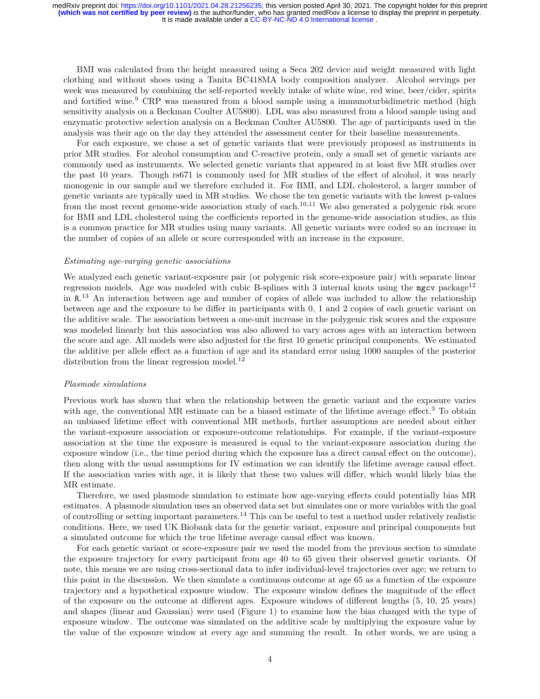BMI was calculated from the height measured using a Seca 202 device and weight measured with light clothing and without shoes using a Tanita BC418MA body composition analyzer. Alcohol servings per week was measured by combining the self-reported weekly intake of white wine, red wine, beer/cider, spirits and fortified wine.<sup>9</sup> CRP was measured from a blood sample using a immunoturbidimetric method (high sensitivity analysis on a Beckman Coulter AU5800). LDL was also measured from a blood sample using and enzymatic protective selection analysis on a Beckman Coulter AU5800. The age of participants used in the analysis was their age on the day they attended the assessment center for their baseline measurements.

For each exposure, we chose a set of genetic variants that were previously proposed as instruments in prior MR studies. For alcohol consumption and C-reactive protein, only a small set of genetic variants are commonly used as instruments. We selected genetic variants that appeared in at least five MR studies over the past 10 years. Though rs671 is commonly used for MR studies of the effect of alcohol, it was nearly monogenic in our sample and we therefore excluded it. For BMI, and LDL cholesterol, a larger number of genetic variants are typically used in MR studies. We chose the ten genetic variants with the lowest p-values from the most recent genome-wide association study of each.<sup>10,11</sup> We also generated a polygenic risk score for BMI and LDL cholesterol using the coefficients reported in the genome-wide association studies, as this is a common practice for MR studies using many variants. All genetic variants were coded so an increase in the number of copies of an allele or score corresponded with an increase in the exposure.

## *Estimating age-varying genetic associations*

We analyzed each genetic variant-exposure pair (or polygenic risk score-exposure pair) with separate linear regression models. Age was modeled with cubic B-splines with 3 internal knots using the mgcv package<sup>12</sup> in R. <sup>13</sup> An interaction between age and number of copies of allele was included to allow the relationship between age and the exposure to be differ in participants with 0, 1 and 2 copies of each genetic variant on the additive scale. The association between a one-unit increase in the polygenic risk scores and the exposure was modeled linearly but this association was also allowed to vary across ages with an interaction between the score and age. All models were also adjusted for the first 10 genetic principal components. We estimated the additive per allele effect as a function of age and its standard error using 1000 samples of the posterior distribution from the linear regression model.<sup>12</sup>

## *Plasmode simulations*

Previous work has shown that when the relationship between the genetic variant and the exposure varies with age, the conventional MR estimate can be a biased estimate of the lifetime average effect.<sup>3</sup> To obtain an unbiased lifetime effect with conventional MR methods, further assumptions are needed about either the variant-exposure association or exposure-outcome relationships. For example, if the variant-exposure association at the time the exposure is measured is equal to the variant-exposure association during the exposure window (i.e., the time period during which the exposure has a direct causal effect on the outcome), then along with the usual assumptions for IV estimation we can identify the lifetime average causal effect. If the association varies with age, it is likely that these two values will differ, which would likely bias the MR estimate.

Therefore, we used plasmode simulation to estimate how age-varying effects could potentially bias MR estimates. A plasmode simulation uses an observed data set but simulates one or more variables with the goal of controlling or setting important parameters.<sup>14</sup> This can be useful to test a method under relatively realistic conditions. Here, we used UK Biobank data for the genetic variant, exposure and principal components but a simulated outcome for which the true lifetime average causal effect was known.

For each genetic variant or score-exposure pair we used the model from the previous section to simulate the exposure trajectory for every participant from age 40 to 65 given their observed genetic variants. Of note, this means we are using cross-sectional data to infer individual-level trajectories over age; we return to this point in the discussion. We then simulate a continuous outcome at age 65 as a function of the exposure trajectory and a hypothetical exposure window. The exposure window defines the magnitude of the effect of the exposure on the outcome at different ages. Exposure windows of different lengths (5, 10, 25 years) and shapes (linear and Gaussian) were used (Figure 1) to examine how the bias changed with the type of exposure window. The outcome was simulated on the additive scale by multiplying the exposure value by the value of the exposure window at every age and summing the result. In other words, we are using a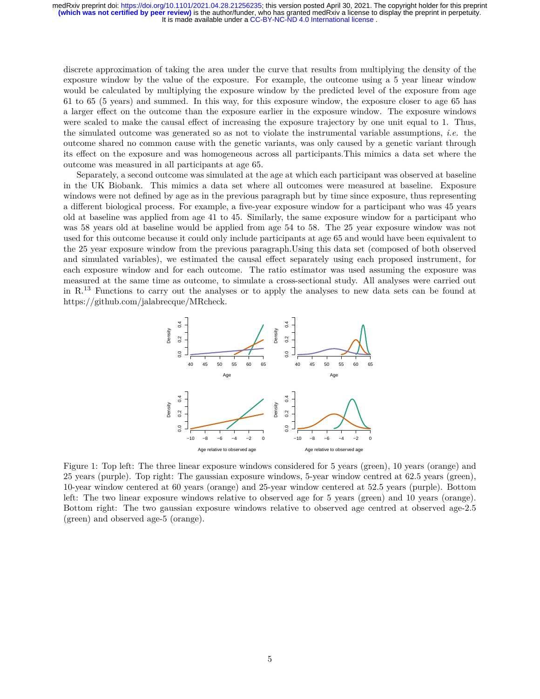discrete approximation of taking the area under the curve that results from multiplying the density of the exposure window by the value of the exposure. For example, the outcome using a 5 year linear window would be calculated by multiplying the exposure window by the predicted level of the exposure from age 61 to 65 (5 years) and summed. In this way, for this exposure window, the exposure closer to age 65 has a larger effect on the outcome than the exposure earlier in the exposure window. The exposure windows were scaled to make the causal effect of increasing the exposure trajectory by one unit equal to 1. Thus, the simulated outcome was generated so as not to violate the instrumental variable assumptions, *i.e.* the outcome shared no common cause with the genetic variants, was only caused by a genetic variant through its effect on the exposure and was homogeneous across all participants.This mimics a data set where the outcome was measured in all participants at age 65.

Separately, a second outcome was simulated at the age at which each participant was observed at baseline in the UK Biobank. This mimics a data set where all outcomes were measured at baseline. Exposure windows were not defined by age as in the previous paragraph but by time since exposure, thus representing a different biological process. For example, a five-year exposure window for a participant who was 45 years old at baseline was applied from age 41 to 45. Similarly, the same exposure window for a participant who was 58 years old at baseline would be applied from age 54 to 58. The 25 year exposure window was not used for this outcome because it could only include participants at age 65 and would have been equivalent to the 25 year exposure window from the previous paragraph.Using this data set (composed of both observed and simulated variables), we estimated the causal effect separately using each proposed instrument, for each exposure window and for each outcome. The ratio estimator was used assuming the exposure was measured at the same time as outcome, to simulate a cross-sectional study. All analyses were carried out in R.<sup>13</sup> Functions to carry out the analyses or to apply the analyses to new data sets can be found at https://github.com/jalabrecque/MRcheck.



Figure 1: Top left: The three linear exposure windows considered for 5 years (green), 10 years (orange) and 25 years (purple). Top right: The gaussian exposure windows, 5-year window centred at 62.5 years (green), 10-year window centered at 60 years (orange) and 25-year window centered at 52.5 years (purple). Bottom left: The two linear exposure windows relative to observed age for 5 years (green) and 10 years (orange). Bottom right: The two gaussian exposure windows relative to observed age centred at observed age-2.5 (green) and observed age-5 (orange).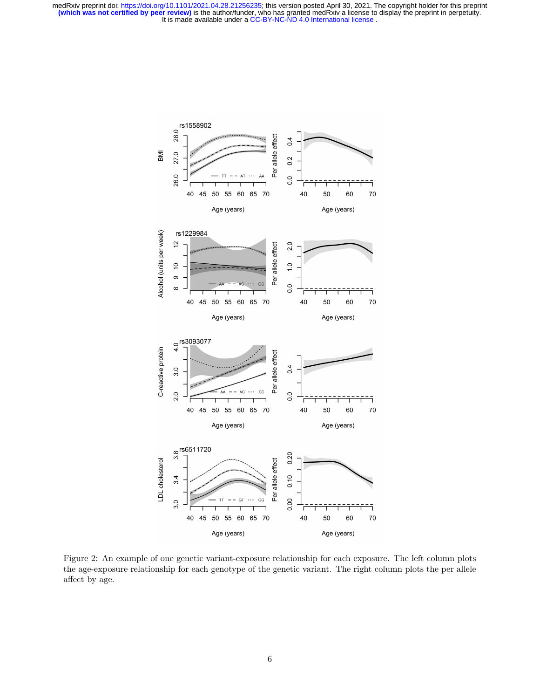

Figure 2: An example of one genetic variant-exposure relationship for each exposure. The left column plots the age-exposure relationship for each genotype of the genetic variant. The right column plots the per allele affect by age.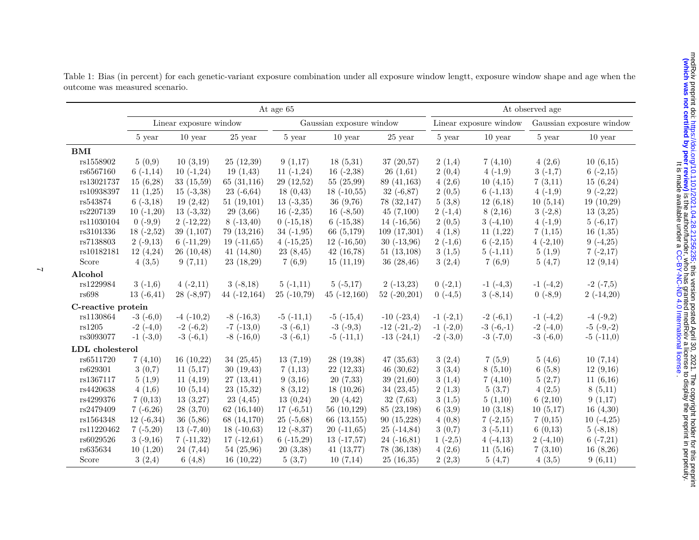|                    | At age 65              |                |                |                          |                |                  | At observed age        |               |                          |               |
|--------------------|------------------------|----------------|----------------|--------------------------|----------------|------------------|------------------------|---------------|--------------------------|---------------|
|                    | Linear exposure window |                |                | Gaussian exposure window |                |                  | Linear exposure window |               | Gaussian exposure window |               |
|                    | 5 year                 | $10$ year      | $25$ year      | 5 year                   | $10$ year      | $25$ year        | 5 year                 | $10$ year     | 5 year                   | $10$ year     |
| <b>BMI</b>         |                        |                |                |                          |                |                  |                        |               |                          |               |
| rs1558902          | 5(0,9)                 | 10(3,19)       | 25(12,39)      | 9(1,17)                  | 18(5,31)       | 37(20,57)        | 2(1,4)                 | 7(4,10)       | 4(2,6)                   | 10(6,15)      |
| rs6567160          | $6(-1,14)$             | $10(-1,24)$    | 19(1,43)       | $11(-1,24)$              | 16 $(-2,38)$   | 26(1,61)         | 2(0,4)                 | $4(-1,9)$     | $3(-1,7)$                | $6(-2,15)$    |
| rs13021737         | 15(6,28)               | 33(15,59)      | 65(31,116)     | 29(12,52)                | 55(25,99)      | 89 (41,163)      | 4(2,6)                 | 10(4,15)      | 7(3,11)                  | 15(6,24)      |
| rs10938397         | 11(1,25)               | $15(-3,38)$    | $23(-6,64)$    | 18(0,43)                 | $18(-10,55)$   | $32(-6,87)$      | 2(0,5)                 | $6(-1,13)$    | $4(-1,9)$                | $9(-2,22)$    |
| rs543874           | $6(-3,18)$             | 19(2,42)       | 51(19,101)     | $13(-3,35)$              | 36(9,76)       | 78(32,147)       | 5(3,8)                 | 12(6,18)      | 10(5,14)                 | 19(10,29)     |
| rs2207139          | $10(-1,20)$            | $13(-3,32)$    | 29(3,66)       | $16(-2,35)$              | $16(-8,50)$    | 45(7,100)        | $2(-1,4)$              | 8(2,16)       | $3(-2,8)$                | 13(3,25)      |
| rs11030104         | $0(-9,9)$              | $2(-12,22)$    | $8(-13,40)$    | $0(-15,18)$              | $6(-15,38)$    | $14(-16,56)$     | 2(0,5)                 | $3(-4,10)$    | $4(-1,9)$                | $5(-6,17)$    |
| rs3101336          | $18(-2,52)$            | 39(1,107)      | 79 (13,216)    | $34(-1,95)$              | 66 (5,179)     | 109(17,301)      | 4(1,8)                 | 11(1,22)      | 7(1,15)                  | 16(1,35)      |
| rs7138803          | $2(-9,13)$             | $6(-11,29)$    | $19(-11,65)$   | $4(-15,25)$              | $12(-16,50)$   | $30(-13,96)$     | $2(-1,6)$              | $6(-2,15)$    | $4(-2,10)$               | $9(-4,25)$    |
| rs10182181         | 12(4,24)               | 26(10,48)      | 41 $(14,80)$   | 23(8,45)                 | 42(16,78)      | 51(13,108)       | 3(1,5)                 | $5(-1,11)$    | 5(1,9)                   | $7(-2,17)$    |
| Score              | 4(3,5)                 | 9(7,11)        | 23(18,29)      | 7(6,9)                   | 15(11,19)      | 36(28,46)        | 3(2,4)                 | 7(6,9)        | 5(4,7)                   | 12(9,14)      |
| Alcohol            |                        |                |                |                          |                |                  |                        |               |                          |               |
| rs1229984          | $3(-1,6)$              | $4(-2,11)$     | $3(-8,18)$     | $5(-1,11)$               | $5(-5,17)$     | $2(-13,23)$      | $0(-2,1)$              | $-1$ $(-4,3)$ | $-1$ $(-4,2)$            | $-2$ $(-7,5)$ |
| rs698              | $13(-6, 41)$           | $28(-8,97)$    | $44(-12,164)$  | $25(-10.79)$             | $45(-12,160)$  | $52$ (-20,201)   | $0(-4,5)$              | $3(-8,14)$    | $0(-8,9)$                | $2(-14,20)$   |
| C-reactive protein |                        |                |                |                          |                |                  |                        |               |                          |               |
| rs1130864          | $-3(-6,0)$             | $-4$ $(-10,2)$ | $-8$ $(-16,3)$ | $-5$ $(-11,1)$           | $-5$ $(-15,4)$ | $-10$ $(-23,4)$  | $-1$ $(-2,1)$          | $-2(-6,1)$    | $-1$ $(-4,2)$            | $-4$ $(-9,2)$ |
| rs1205             | $-2(-4,0)$             | $-2(-6,2)$     | $-7$ $(-13,0)$ | $-3(-6,1)$               | $-3(-9,3)$     | $-12$ $(-21,-2)$ | $-1$ $(-2,0)$          | $-3(-6,-1)$   | $-2(-4,0)$               | $-5(-9,-2)$   |
| rs3093077          | $-1$ $(-3,0)$          | $-3(-6,1)$     | $-8$ $(-16,0)$ | $-3(-6,1)$               | $-5(-11,1)$    | $-13(-24,1)$     | $-2(-3,0)$             | $-3$ $(-7,0)$ | $-3(-6,0)$               | $-5(-11,0)$   |
| LDL cholesterol    |                        |                |                |                          |                |                  |                        |               |                          |               |
| rs6511720          | 7(4,10)                | 16(10,22)      | 34(25,45)      | 13(7,19)                 | 28(19,38)      | 47(35,63)        | 3(2,4)                 | 7(5,9)        | 5(4.6)                   | 10(7,14)      |
| rs629301           | 3(0,7)                 | 11(5,17)       | 30(19,43)      | 7(1,13)                  | 22(12,33)      | 46(30,62)        | 3(3,4)                 | 8(5,10)       | 6(5,8)                   | 12(9,16)      |
| rs1367117          | 5(1,9)                 | 11(4,19)       | 27(13,41)      | 9(3,16)                  | 20(7,33)       | 39(21,60)        | 3(1,4)                 | 7(4,10)       | 5(2,7)                   | 11(6,16)      |
| rs4420638          | 4(1,6)                 | 10(5,14)       | 23(15,32)      | 8(3,12)                  | 18(10,26)      | 34(23,45)        | 2(1,3)                 | 5(3,7)        | 4(2,5)                   | 8(5,11)       |
| rs4299376          | 7(0,13)                | 13(3,27)       | 23(4,45)       | 13(0,24)                 | 20(4,42)       | 32(7,63)         | 3(1,5)                 | 5(1,10)       | 6(2,10)                  | 9(1,17)       |
| rs2479409          | $7(-6,26)$             | 28(3,70)       | 62(16,140)     | $17(-6,51)$              | 56 $(10,129)$  | 85 (23,198)      | 6(3,9)                 | 10(3,18)      | 10(5,17)                 | 16(4,30)      |
| rs1564348          | $12(-6,34)$            | 36(5,86)       | 68 (14,170)    | $25(-5,68)$              | 66 (13,155)    | 90(15,228)       | 4(0,8)                 | $7(-2,15)$    | 7(0.15)                  | $10(-4,25)$   |
| rs11220462         | $7(-5,20)$             | $13(-7,40)$    | $18(-10,63)$   | $12(-8,37)$              | $20(-11,65)$   | $25(-14,84)$     | 3(0,7)                 | $3(-5,11)$    | 6(0,13)                  | $5(-8,18)$    |
| rs6029526          | $3(-9,16)$             | $7(-11,32)$    | $17(-12,61)$   | $6(-15,29)$              | $13(-17,57)$   | $24(-16,81)$     | $1(-2,5)$              | $4(-4,13)$    | $2(-4,10)$               | $6(-7,21)$    |
| rs635634           | 10(1,20)               | 24(7,44)       | 54(25,96)      | 20(3,38)                 | 41(13,77)      | 78(36,138)       | 4(2,6)                 | 11(5,16)      | 7(3,10)                  | 16(8,26)      |
| Score              | 3(2,4)                 | 6(4,8)         | 16(10,22)      | 5(3,7)                   | 10(7,14)       | 25(16,35)        | 2(2,3)                 | 5(4,7)        | 4(3,5)                   | 9(6,11)       |

Table 1: Bias (in percent) for each genetic-variant exposure combination under all exposure window lengtt, exposure window shape and age when theoutcome was measured scenario.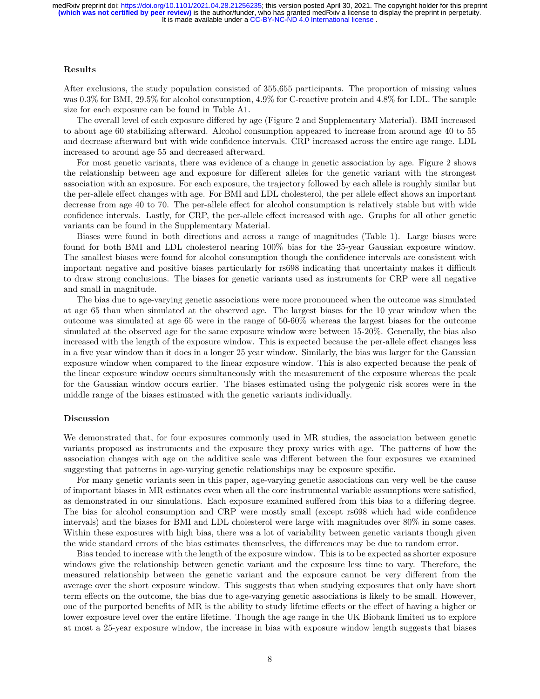#### **Results**

After exclusions, the study population consisted of 355,655 participants. The proportion of missing values was 0.3% for BMI, 29.5% for alcohol consumption, 4.9% for C-reactive protein and 4.8% for LDL. The sample size for each exposure can be found in Table A1.

The overall level of each exposure differed by age (Figure 2 and Supplementary Material). BMI increased to about age 60 stabilizing afterward. Alcohol consumption appeared to increase from around age 40 to 55 and decrease afterward but with wide confidence intervals. CRP increased across the entire age range. LDL increased to around age 55 and decreased afterward.

For most genetic variants, there was evidence of a change in genetic association by age. Figure 2 shows the relationship between age and exposure for different alleles for the genetic variant with the strongest association with an exposure. For each exposure, the trajectory followed by each allele is roughly similar but the per-allele effect changes with age. For BMI and LDL cholesterol, the per allele effect shows an important decrease from age 40 to 70. The per-allele effect for alcohol consumption is relatively stable but with wide confidence intervals. Lastly, for CRP, the per-allele effect increased with age. Graphs for all other genetic variants can be found in the Supplementary Material.

Biases were found in both directions and across a range of magnitudes (Table 1). Large biases were found for both BMI and LDL cholesterol nearing 100% bias for the 25-year Gaussian exposure window. The smallest biases were found for alcohol consumption though the confidence intervals are consistent with important negative and positive biases particularly for rs698 indicating that uncertainty makes it difficult to draw strong conclusions. The biases for genetic variants used as instruments for CRP were all negative and small in magnitude.

The bias due to age-varying genetic associations were more pronounced when the outcome was simulated at age 65 than when simulated at the observed age. The largest biases for the 10 year window when the outcome was simulated at age 65 were in the range of 50-60% whereas the largest biases for the outcome simulated at the observed age for the same exposure window were between 15-20%. Generally, the bias also increased with the length of the exposure window. This is expected because the per-allele effect changes less in a five year window than it does in a longer 25 year window. Similarly, the bias was larger for the Gaussian exposure window when compared to the linear exposure window. This is also expected because the peak of the linear exposure window occurs simultaneously with the measurement of the exposure whereas the peak for the Gaussian window occurs earlier. The biases estimated using the polygenic risk scores were in the middle range of the biases estimated with the genetic variants individually.

#### **Discussion**

We demonstrated that, for four exposures commonly used in MR studies, the association between genetic variants proposed as instruments and the exposure they proxy varies with age. The patterns of how the association changes with age on the additive scale was different between the four exposures we examined suggesting that patterns in age-varying genetic relationships may be exposure specific.

For many genetic variants seen in this paper, age-varying genetic associations can very well be the cause of important biases in MR estimates even when all the core instrumental variable assumptions were satisfied, as demonstrated in our simulations. Each exposure examined suffered from this bias to a differing degree. The bias for alcohol consumption and CRP were mostly small (except rs698 which had wide confidence intervals) and the biases for BMI and LDL cholesterol were large with magnitudes over 80% in some cases. Within these exposures with high bias, there was a lot of variability between genetic variants though given the wide standard errors of the bias estimates themselves, the differences may be due to random error.

Bias tended to increase with the length of the exposure window. This is to be expected as shorter exposure windows give the relationship between genetic variant and the exposure less time to vary. Therefore, the measured relationship between the genetic variant and the exposure cannot be very different from the average over the short exposure window. This suggests that when studying exposures that only have short term effects on the outcome, the bias due to age-varying genetic associations is likely to be small. However, one of the purported benefits of MR is the ability to study lifetime effects or the effect of having a higher or lower exposure level over the entire lifetime. Though the age range in the UK Biobank limited us to explore at most a 25-year exposure window, the increase in bias with exposure window length suggests that biases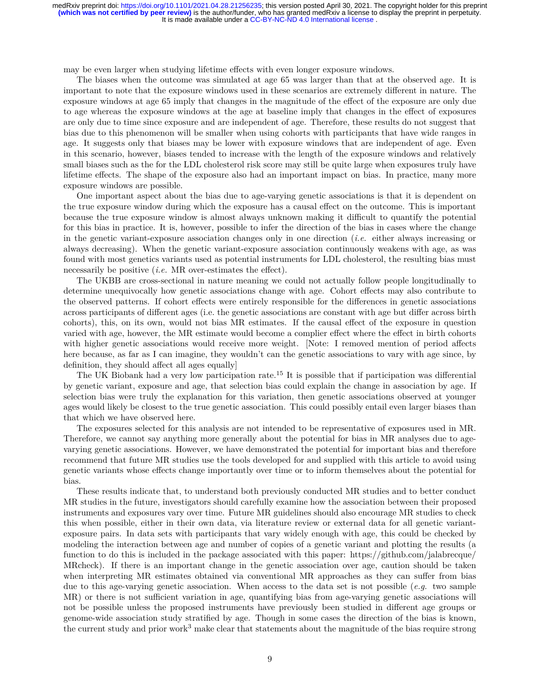may be even larger when studying lifetime effects with even longer exposure windows.

The biases when the outcome was simulated at age 65 was larger than that at the observed age. It is important to note that the exposure windows used in these scenarios are extremely different in nature. The exposure windows at age 65 imply that changes in the magnitude of the effect of the exposure are only due to age whereas the exposure windows at the age at baseline imply that changes in the effect of exposures are only due to time since exposure and are independent of age. Therefore, these results do not suggest that bias due to this phenomenon will be smaller when using cohorts with participants that have wide ranges in age. It suggests only that biases may be lower with exposure windows that are independent of age. Even in this scenario, however, biases tended to increase with the length of the exposure windows and relatively small biases such as the for the LDL cholesterol risk score may still be quite large when exposures truly have lifetime effects. The shape of the exposure also had an important impact on bias. In practice, many more exposure windows are possible.

One important aspect about the bias due to age-varying genetic associations is that it is dependent on the true exposure window during which the exposure has a causal effect on the outcome. This is important because the true exposure window is almost always unknown making it difficult to quantify the potential for this bias in practice. It is, however, possible to infer the direction of the bias in cases where the change in the genetic variant-exposure association changes only in one direction (*i.e.* either always increasing or always decreasing). When the genetic variant-exposure association continuously weakens with age, as was found with most genetics variants used as potential instruments for LDL cholesterol, the resulting bias must necessarily be positive *(i.e.* MR over-estimates the effect).

The UKBB are cross-sectional in nature meaning we could not actually follow people longitudinally to determine unequivocally how genetic associations change with age. Cohort effects may also contribute to the observed patterns. If cohort effects were entirely responsible for the differences in genetic associations across participants of different ages (i.e. the genetic associations are constant with age but differ across birth cohorts), this, on its own, would not bias MR estimates. If the causal effect of the exposure in question varied with age, however, the MR estimate would become a complier effect where the effect in birth cohorts with higher genetic associations would receive more weight. [Note: I removed mention of period affects here because, as far as I can imagine, they wouldn't can the genetic associations to vary with age since, by definition, they should affect all ages equally]

The UK Biobank had a very low participation rate.<sup>15</sup> It is possible that if participation was differential by genetic variant, exposure and age, that selection bias could explain the change in association by age. If selection bias were truly the explanation for this variation, then genetic associations observed at younger ages would likely be closest to the true genetic association. This could possibly entail even larger biases than that which we have observed here.

The exposures selected for this analysis are not intended to be representative of exposures used in MR. Therefore, we cannot say anything more generally about the potential for bias in MR analyses due to agevarying genetic associations. However, we have demonstrated the potential for important bias and therefore recommend that future MR studies use the tools developed for and supplied with this article to avoid using genetic variants whose effects change importantly over time or to inform themselves about the potential for bias.

These results indicate that, to understand both previously conducted MR studies and to better conduct MR studies in the future, investigators should carefully examine how the association between their proposed instruments and exposures vary over time. Future MR guidelines should also encourage MR studies to check this when possible, either in their own data, via literature review or external data for all genetic variantexposure pairs. In data sets with participants that vary widely enough with age, this could be checked by modeling the interaction between age and number of copies of a genetic variant and plotting the results (a function to do this is included in the package associated with this paper: https://github.com/jalabrecque/ MRcheck). If there is an important change in the genetic association over age, caution should be taken when interpreting MR estimates obtained via conventional MR approaches as they can suffer from bias due to this age-varying genetic association. When access to the data set is not possible (*e.g.* two sample MR) or there is not sufficient variation in age, quantifying bias from age-varying genetic associations will not be possible unless the proposed instruments have previously been studied in different age groups or genome-wide association study stratified by age. Though in some cases the direction of the bias is known, the current study and prior work<sup>3</sup> make clear that statements about the magnitude of the bias require strong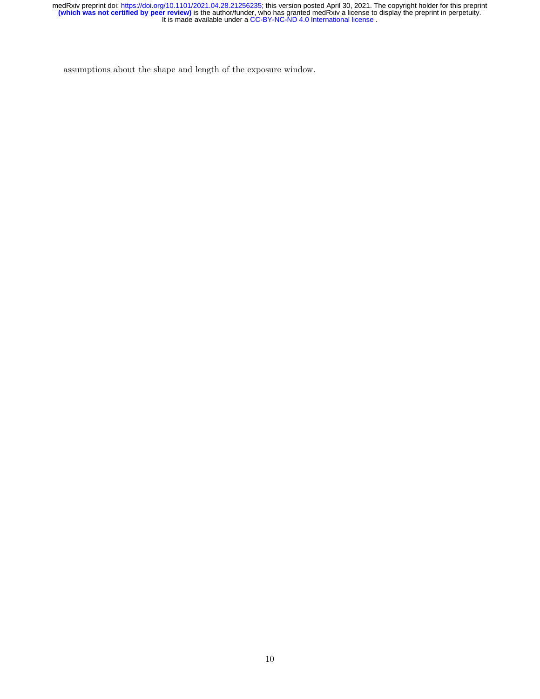assumptions about the shape and length of the exposure window.